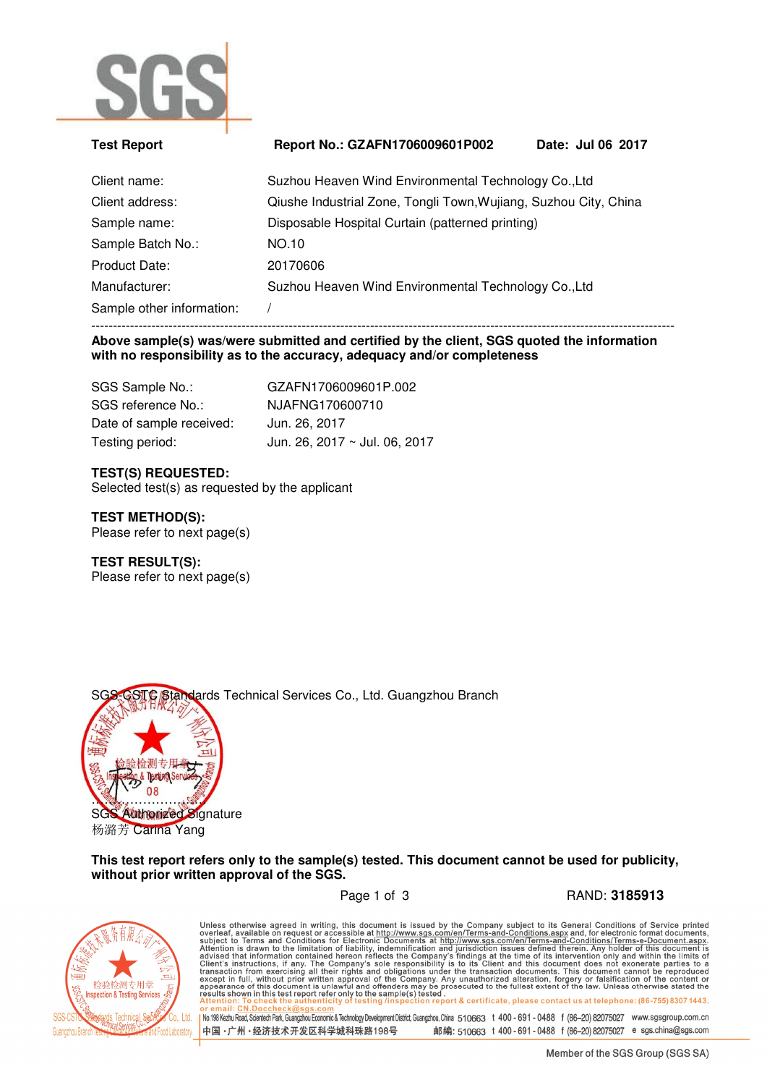

| <b>Test Report</b>        | Report No.: GZAFN1706009601P002                                  | Date: Jul 06 2017 |
|---------------------------|------------------------------------------------------------------|-------------------|
| Client name:              | Suzhou Heaven Wind Environmental Technology Co., Ltd             |                   |
| Client address:           | Qiushe Industrial Zone, Tongli Town, Wujiang, Suzhou City, China |                   |
| Sample name:              | Disposable Hospital Curtain (patterned printing)                 |                   |
| Sample Batch No.:         | <b>NO.10</b>                                                     |                   |
| Product Date:             | 20170606                                                         |                   |
| Manufacturer:             | Suzhou Heaven Wind Environmental Technology Co., Ltd             |                   |
| Sample other information: |                                                                  |                   |

## ---------------------------------------------------------------------------------------------------------------------------------------- **Above sample(s) was/were submitted and certified by the client, SGS quoted the information with no responsibility as to the accuracy, adequacy and/or completeness**

| SGS Sample No.:          | GZAFN1706009601P.002          |
|--------------------------|-------------------------------|
| SGS reference No.:       | NJAFNG170600710               |
| Date of sample received: | Jun. 26, 2017                 |
| Testing period:          | Jun. 26, 2017 ~ Jul. 06, 2017 |

**TEST(S) REQUESTED:**  Selected test(s) as requested by the applicant

**TEST METHOD(S):**  Please refer to next page(s)

**TEST RESULT(S):**  Please refer to next page(s)



**This test report refers only to the sample(s) tested. This document cannot be used for publicity, without prior written approval of the SGS.** 



Page 1 of 3 RAND: **3185913**

Unless otherwise agreed in writing, this document is issued by the Company subject to its General Conditions of Service printed overleaf, available on request or accessible at http://www.sgs.com/en/Terms-and-Conditions.as No.198 Kezhu Road, Scientech Park, Guargzhou Economic & Technology Development District, Guangzhou, China 510663 t 400 - 691 - 0488 f (86-20) 82075027 www.sgsgroup.com.cn 中国·广州·经济技术开发区科学城科珠路198号 邮编: 510663 t 400 - 691 - 0488 f (86-20) 82075027 e sgs.china@sgs.com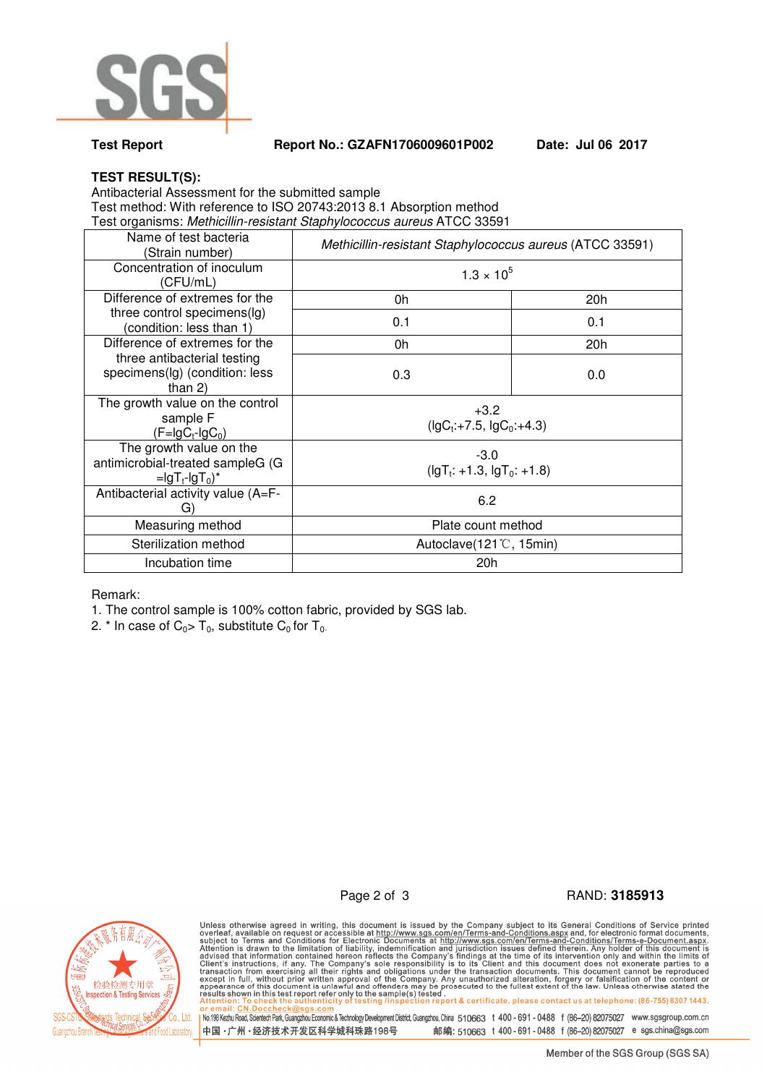

## **Test Report Report No.: GZAFN1706009601P002 Date: Jul 06 2017**

**TEST RESULT(S):** 

Antibacterial Assessment for the submitted sample Test method: With reference to ISO 20743:2013 8.1 Absorption method Test organisms: Methicillin-resistant Staphylococcus aureus ATCC 33591 Name of test bacteria Illie of test bacteria<br>(Strain number) Methicillin-resistant Staphylococcus aureus (ATCC 33591) Concentration of inoculum<br>(CFU/mL)  $(CFU/mL)$  1.3 × 10<sup>5</sup> Difference of extremes for the three control specimens(lg) (condition: less than 1) 0h 20h 0.1 0.1 Difference of extremes for the three antibacterial testing specimens(lg) (condition: less than 2) 0h 20h 0.3 0.0 The growth value on the control sample F  $(F=lgC_t-lgC_0)$ +3.2  $(lgC<sub>t</sub>: +7.5, lgC<sub>0</sub>: +4.3)$ The growth value on the antimicrobial-treated sampleG (G  $=$ lgT<sub>t</sub>-lgT<sub>0</sub>)\* -3.0  $(lgT_t: +1.3, lgT_0: +1.8)$ Antibacterial activity value (A=F-G) 6.2 Measuring method  $\overline{\phantom{a}}$  Plate count method Sterilization method and Autoclave(121℃, 15min) Incubation time 20h

Remark:

1. The control sample is 100% cotton fabric, provided by SGS lab.

2. \* In case of  $C_0 > T_0$ , substitute  $C_0$  for  $T_0$ .

Page 2 of 3 RAND: **3185913**



Unless otherwise agreed in writing, this document is issued by the Company subject to its General Conditions of Service printed<br>overleaf, available on request or accessible at http://www.sgs.com/en/Terms-and-Conditions.as u .<br>eport & certificate, please contact us at telephone: (86-755) 8307 1443, No.198 Kezhu Road, Scientech Park, Guangzhou Economic & Technology Development District, Guangzhou, China 510663 t 400 - 691 - 0488 f (86-20) 82075027 www.sgsgroup.com.cn 中国·广州·经济技术开发区科学城科珠路198号 邮编: 510663 t 400 - 691 - 0488 f (86-20) 82075027 e sgs.china@sgs.com